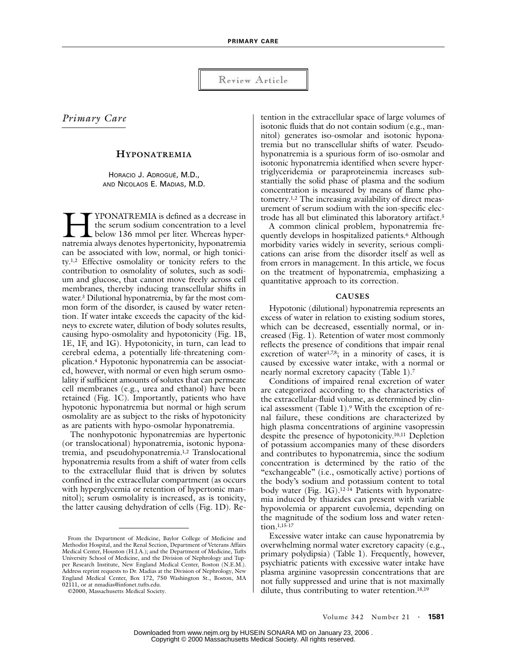Review Article

*Primary Care*

# **HYPONATREMIA**

HORACIO J. ADROGUÉ, M.D., AND NICOLAOS E. MADIAS, M.D.

YPONATREMIA is defined as a decrease in the serum sodium concentration to a level below 136 mmol per liter. Whereas hyper-IMPONATREMIA is defined as a decrease in the serum sodium concentration to a level<br>below 136 mmol per liter. Whereas hyper-<br>natremia always denotes hypertonicity, hyponatremia can be associated with low, normal, or high tonicity.1,2 Effective osmolality or tonicity refers to the contribution to osmolality of solutes, such as sodium and glucose, that cannot move freely across cell membranes, thereby inducing transcellular shifts in water.3 Dilutional hyponatremia, by far the most common form of the disorder, is caused by water retention. If water intake exceeds the capacity of the kidneys to excrete water, dilution of body solutes results, causing hypo-osmolality and hypotonicity (Fig. 1B, 1E, 1F, and 1G). Hypotonicity, in turn, can lead to cerebral edema, a potentially life-threatening complication.4 Hypotonic hyponatremia can be associated, however, with normal or even high serum osmolality if sufficient amounts of solutes that can permeate cell membranes (e.g., urea and ethanol) have been retained (Fig. 1C). Importantly, patients who have hypotonic hyponatremia but normal or high serum osmolality are as subject to the risks of hypotonicity as are patients with hypo-osmolar hyponatremia.

The nonhypotonic hyponatremias are hypertonic (or translocational) hyponatremia, isotonic hyponatremia, and pseudohyponatremia.1,2 Translocational hyponatremia results from a shift of water from cells to the extracellular fluid that is driven by solutes confined in the extracellular compartment (as occurs with hyperglycemia or retention of hypertonic mannitol); serum osmolality is increased, as is tonicity, the latter causing dehydration of cells (Fig. 1D). Re-

tention in the extracellular space of large volumes of isotonic fluids that do not contain sodium (e.g., mannitol) generates iso-osmolar and isotonic hyponatremia but no transcellular shifts of water. Pseudohyponatremia is a spurious form of iso-osmolar and isotonic hyponatremia identified when severe hypertriglyceridemia or paraproteinemia increases substantially the solid phase of plasma and the sodium concentration is measured by means of flame photometry.1,2 The increasing availability of direct measurement of serum sodium with the ion-specific electrode has all but eliminated this laboratory artifact.5

A common clinical problem, hyponatremia frequently develops in hospitalized patients.<sup>6</sup> Although morbidity varies widely in severity, serious complications can arise from the disorder itself as well as from errors in management. In this article, we focus on the treatment of hyponatremia, emphasizing a quantitative approach to its correction.

## **CAUSES**

Hypotonic (dilutional) hyponatremia represents an excess of water in relation to existing sodium stores, which can be decreased, essentially normal, or increased (Fig. 1). Retention of water most commonly reflects the presence of conditions that impair renal excretion of water<sup>1,7,8</sup>; in a minority of cases, it is caused by excessive water intake, with a normal or nearly normal excretory capacity (Table 1).7

Conditions of impaired renal excretion of water are categorized according to the characteristics of the extracellular-fluid volume, as determined by clinical assessment (Table 1).9 With the exception of renal failure, these conditions are characterized by high plasma concentrations of arginine vasopressin despite the presence of hypotonicity.10,11 Depletion of potassium accompanies many of these disorders and contributes to hyponatremia, since the sodium concentration is determined by the ratio of the "exchangeable" (i.e., osmotically active) portions of the body's sodium and potassium content to total body water (Fig. 1G).<sup>12-14</sup> Patients with hyponatremia induced by thiazides can present with variable hypovolemia or apparent euvolemia, depending on the magnitude of the sodium loss and water retention.1,15-17

Excessive water intake can cause hyponatremia by overwhelming normal water excretory capacity (e.g., primary polydipsia) (Table 1). Frequently, however, psychiatric patients with excessive water intake have plasma arginine vasopressin concentrations that are not fully suppressed and urine that is not maximally dilute, thus contributing to water retention.<sup>18,19</sup>

From the Department of Medicine, Baylor College of Medicine and Methodist Hospital, and the Renal Section, Department of Veterans Affairs Medical Center, Houston (H.J.A.); and the Department of Medicine, Tufts University School of Medicine, and the Division of Nephrology and Tupper Research Institute, New England Medical Center, Boston (N.E.M.). Address reprint requests to Dr. Madias at the Division of Nephrology, New England Medical Center, Box 172, 750 Washington St., Boston, MA 02111, or at nmadias@infonet.tufts.edu.

<sup>©2000,</sup> Massachusetts Medical Society.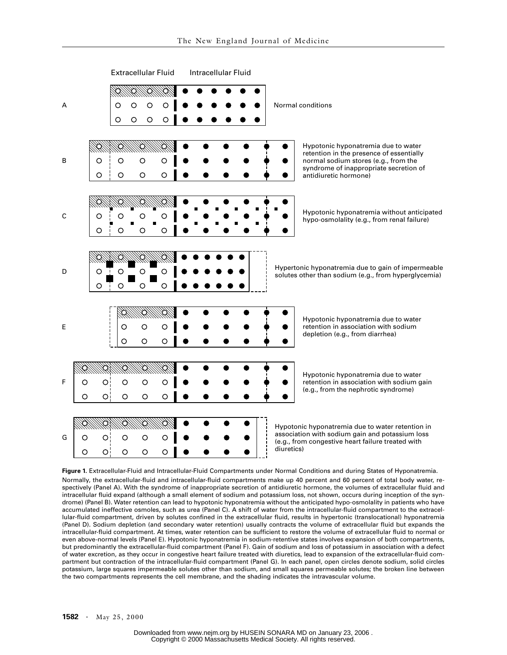

**Figure 1.** Extracellular-Fluid and Intracellular-Fluid Compartments under Normal Conditions and during States of Hyponatremia. Normally, the extracellular-fluid and intracellular-fluid compartments make up 40 percent and 60 percent of total body water, respectively (Panel A). With the syndrome of inappropriate secretion of antidiuretic hormone, the volumes of extracellular fluid and intracellular fluid expand (although a small element of sodium and potassium loss, not shown, occurs during inception of the syndrome) (Panel B). Water retention can lead to hypotonic hyponatremia without the anticipated hypo-osmolality in patients who have accumulated ineffective osmoles, such as urea (Panel C). A shift of water from the intracellular-fluid compartment to the extracellular-fluid compartment, driven by solutes confined in the extracellular fluid, results in hypertonic (translocational) hyponatremia (Panel D). Sodium depletion (and secondary water retention) usually contracts the volume of extracellular fluid but expands the intracellular-fluid compartment. At times, water retention can be sufficient to restore the volume of extracellular fluid to normal or even above-normal levels (Panel E). Hypotonic hyponatremia in sodium-retentive states involves expansion of both compartments, but predominantly the extracellular-fluid compartment (Panel F). Gain of sodium and loss of potassium in association with a defect of water excretion, as they occur in congestive heart failure treated with diuretics, lead to expansion of the extracellular-fluid compartment but contraction of the intracellular-fluid compartment (Panel G). In each panel, open circles denote sodium, solid circles potassium, large squares impermeable solutes other than sodium, and small squares permeable solutes; the broken line between the two compartments represents the cell membrane, and the shading indicates the intravascular volume.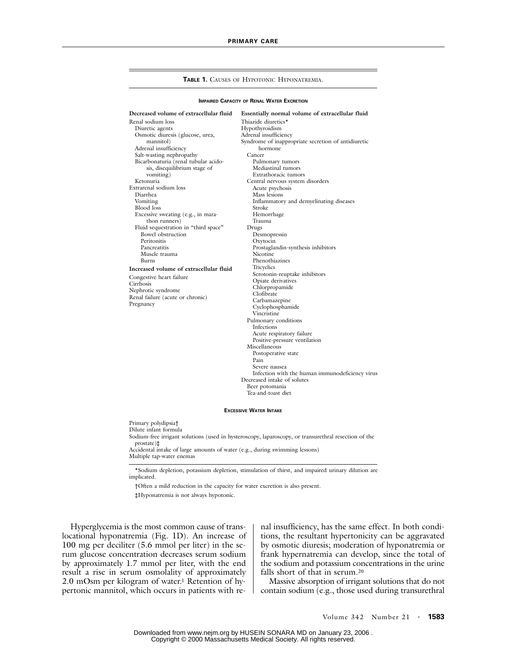#### **TABLE 1. CAUSES OF HYPOTONIC HYPONATREMIA.**

### **IMPAIRED CAPACITY OF RENAL WATER EXCRETION**

### **Decreased volume of extracellular fluid**

Renal sodium loss Diuretic agents Osmotic diuresis (glucose, urea, mannitol) Adrenal insufficiency Salt-wasting nephropathy Bicarbonaturia (renal tubular acidosis, disequilibrium stage of vomiting) Ketonuria Extrarenal sodium loss Diarrhea Vomiting Blood loss Excessive sweating (e.g., in marathon runners) Fluid sequestration in "third space" Bowel obstruction Peritonitis Pancreatitis Muscle trauma Burns **Increased volume of extracellular fluid** Congestive heart failure Cirrhosis Nephrotic syndrome

Renal failure (acute or chronic)

Pregnancy

**Essentially normal volume of extracellular fluid** Thiazide diuretics\* Hypothyroidism Adrenal insufficiency Syndrome of inappropriate secretion of antidiuretic hormone Cancer Pulmonary tumors Mediastinal tumors Extrathoracic tumors Central nervous system disorders Acute psychosis Mass lesions Inflammatory and demyelinating diseases Stroke Hemorrhage Trauma Drugs Desmopressin Oxytocin Prostaglandin-synthesis inhibitors Nicotine Phenothiazines **Tricyclics** Serotonin-reuptake inhibitors Opiate derivatives Chlorpropamide Clofibrate Carbamazepine Cyclophosphamide Vincristine Pulmonary conditions Infections Acute respiratory failure Positive-pressure ventilation Miscellaneous Postoperative state Pain Severe nausea Infection with the human immunodeficiency virus Decreased intake of solutes Beer potomania Tea-and-toast diet

#### **EXCESSIVE WATER INTAKE**

Primary polydipsia† Dilute infant formula Sodium-free irrigant solutions (used in hysteroscopy, laparoscopy, or transurethral resection of the prostate)‡ Accidental intake of large amounts of water (e.g., during swimming lessons) Multiple tap-water enemas

\*Sodium depletion, potassium depletion, stimulation of thirst, and impaired urinary dilution are implicated.

†Often a mild reduction in the capacity for water excretion is also present.

‡Hyponatremia is not always hypotonic.

Hyperglycemia is the most common cause of translocational hyponatremia (Fig. 1D). An increase of 100 mg per deciliter (5.6 mmol per liter) in the serum glucose concentration decreases serum sodium by approximately 1.7 mmol per liter, with the end result a rise in serum osmolality of approximately 2.0 mOsm per kilogram of water.1 Retention of hypertonic mannitol, which occurs in patients with renal insufficiency, has the same effect. In both conditions, the resultant hypertonicity can be aggravated by osmotic diuresis; moderation of hyponatremia or frank hypernatremia can develop, since the total of the sodium and potassium concentrations in the urine falls short of that in serum.20

Massive absorption of irrigant solutions that do not contain sodium (e.g., those used during transurethral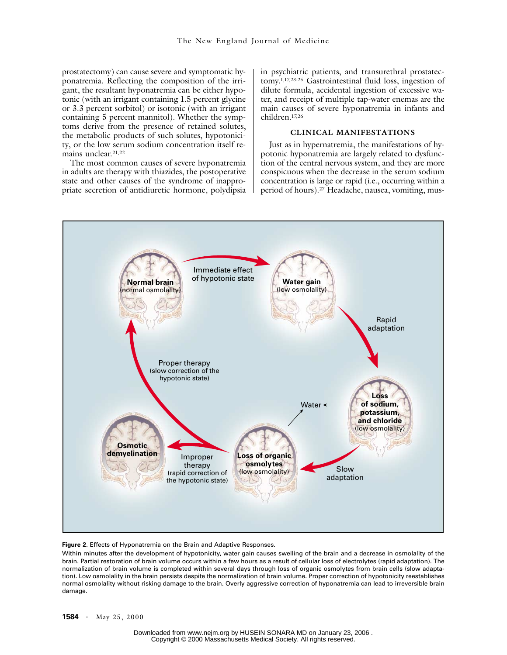prostatectomy) can cause severe and symptomatic hyponatremia. Reflecting the composition of the irrigant, the resultant hyponatremia can be either hypotonic (with an irrigant containing 1.5 percent glycine or 3.3 percent sorbitol) or isotonic (with an irrigant containing 5 percent mannitol). Whether the symptoms derive from the presence of retained solutes, the metabolic products of such solutes, hypotonicity, or the low serum sodium concentration itself remains unclear.21,22

The most common causes of severe hyponatremia in adults are therapy with thiazides, the postoperative state and other causes of the syndrome of inappropriate secretion of antidiuretic hormone, polydipsia in psychiatric patients, and transurethral prostatectomy.1,17,23-25 Gastrointestinal fluid loss, ingestion of dilute formula, accidental ingestion of excessive water, and receipt of multiple tap-water enemas are the main causes of severe hyponatremia in infants and children.17,26

# **CLINICAL MANIFESTATIONS**

Just as in hypernatremia, the manifestations of hypotonic hyponatremia are largely related to dysfunction of the central nervous system, and they are more conspicuous when the decrease in the serum sodium concentration is large or rapid (i.e., occurring within a period of hours).27 Headache, nausea, vomiting, mus-



## **Figure 2.** Effects of Hyponatremia on the Brain and Adaptive Responses.

Within minutes after the development of hypotonicity, water gain causes swelling of the brain and a decrease in osmolality of the brain. Partial restoration of brain volume occurs within a few hours as a result of cellular loss of electrolytes (rapid adaptation). The normalization of brain volume is completed within several days through loss of organic osmolytes from brain cells (slow adaptation). Low osmolality in the brain persists despite the normalization of brain volume. Proper correction of hypotonicity reestablishes normal osmolality without risking damage to the brain. Overly aggressive correction of hyponatremia can lead to irreversible brain damage.

**1584 ·** May 25, 2000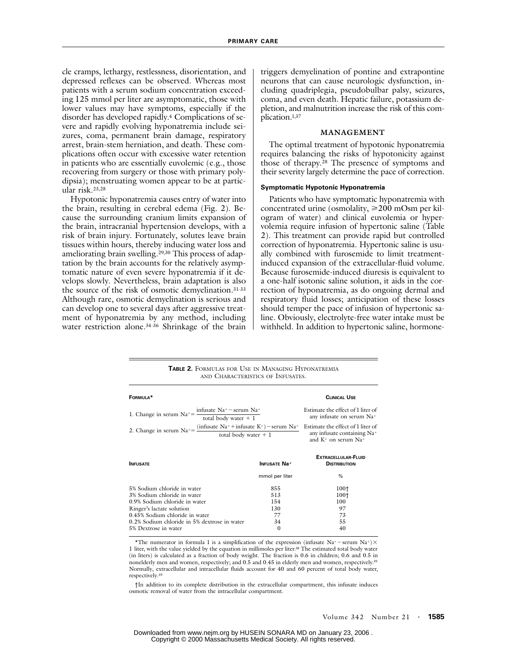cle cramps, lethargy, restlessness, disorientation, and depressed reflexes can be observed. Whereas most patients with a serum sodium concentration exceeding 125 mmol per liter are asymptomatic, those with lower values may have symptoms, especially if the disorder has developed rapidly.4 Complications of severe and rapidly evolving hyponatremia include seizures, coma, permanent brain damage, respiratory arrest, brain-stem herniation, and death. These complications often occur with excessive water retention in patients who are essentially euvolemic (e.g., those recovering from surgery or those with primary polydipsia); menstruating women appear to be at particular risk.23,28

Hypotonic hyponatremia causes entry of water into the brain, resulting in cerebral edema (Fig. 2). Because the surrounding cranium limits expansion of the brain, intracranial hypertension develops, with a risk of brain injury. Fortunately, solutes leave brain tissues within hours, thereby inducing water loss and ameliorating brain swelling.<sup>29,30</sup> This process of adaptation by the brain accounts for the relatively asymptomatic nature of even severe hyponatremia if it develops slowly. Nevertheless, brain adaptation is also the source of the risk of osmotic demyelination.31-33 Although rare, osmotic demyelination is serious and can develop one to several days after aggressive treatment of hyponatremia by any method, including water restriction alone.<sup>34-36</sup> Shrinkage of the brain

triggers demyelination of pontine and extrapontine neurons that can cause neurologic dysfunction, including quadriplegia, pseudobulbar palsy, seizures, coma, and even death. Hepatic failure, potassium depletion, and malnutrition increase the risk of this complication.1,37

## **MANAGEMENT**

The optimal treatment of hypotonic hyponatremia requires balancing the risks of hypotonicity against those of therapy.28 The presence of symptoms and their severity largely determine the pace of correction.

### **Symptomatic Hypotonic Hyponatremia**

Patients who have symptomatic hyponatremia with concentrated urine (osmolality,  $\geq 200$  mOsm per kilogram of water) and clinical euvolemia or hypervolemia require infusion of hypertonic saline (Table 2). This treatment can provide rapid but controlled correction of hyponatremia. Hypertonic saline is usually combined with furosemide to limit treatmentinduced expansion of the extracellular-fluid volume. Because furosemide-induced diuresis is equivalent to a one-half isotonic saline solution, it aids in the correction of hyponatremia, as do ongoing dermal and respiratory fluid losses; anticipation of these losses should temper the pace of infusion of hypertonic saline. Obviously, electrolyte-free water intake must be withheld. In addition to hypertonic saline, hormone-

**TABLE 2.** FORMULAS FOR USE IN MANAGING HYPONATREMIA AND CHARACTERISTICS OF INFUSATES.

| FORMULA*                                                                                                                                                                                                                           |                                           | <b>CLINICAL USE</b>                                                                           |
|------------------------------------------------------------------------------------------------------------------------------------------------------------------------------------------------------------------------------------|-------------------------------------------|-----------------------------------------------------------------------------------------------|
| infusate $Na^+$ – serum $Na^+$<br>1. Change in serum $Na^+=$<br>total body water $+1$                                                                                                                                              |                                           | Estimate the effect of 1 liter of<br>any infusate on serum Na <sup>+</sup>                    |
| 2. Change in serum $Na^+ = \frac{(infusate\ Na^+ + infusate\ K^+)-}{e}$ serum $Na^+$<br>total body water $+1$                                                                                                                      |                                           | Estimate the effect of 1 liter of<br>any infusate containing Na+<br>and $K^+$ on serum $Na^+$ |
| <b>INFLISATE</b>                                                                                                                                                                                                                   | <b>INFUSATE Na+</b>                       | <b>EXTRACELLULAR-FLUID</b><br><b>DISTRIBUTION</b>                                             |
|                                                                                                                                                                                                                                    | mmol per liter                            | $\%$                                                                                          |
| 5% Sodium chloride in water<br>3% Sodium chloride in water<br>0.9% Sodium chloride in water<br>Ringer's lactate solution<br>0.45% Sodium chloride in water<br>0.2% Sodium chloride in 5% dextrose in water<br>5% Dextrose in water | 855<br>513<br>154<br>130<br>77<br>34<br>0 | 100†<br>100†<br>100<br>97<br>73<br>55<br>40                                                   |

<sup>\*</sup>The numerator in formula 1 is a simplification of the expression (infusate Na+ – serum Na+) $\times$ 1 liter, with the value yielded by the equation in millimoles per liter.<sup>38</sup> The estimated total body water (in liters) is calculated as a fraction of body weight. The fraction is 0.6 in children; 0.6 and 0.5 in nonelderly men and women, respectively; and 0.5 and 0.45 in elderly men and women, respectively.39 Normally, extracellular and intracellular fluids account for 40 and 60 percent of total body water, respectively.39

<sup>†</sup>In addition to its complete distribution in the extracellular compartment, this infusate induces osmotic removal of water from the intracellular compartment.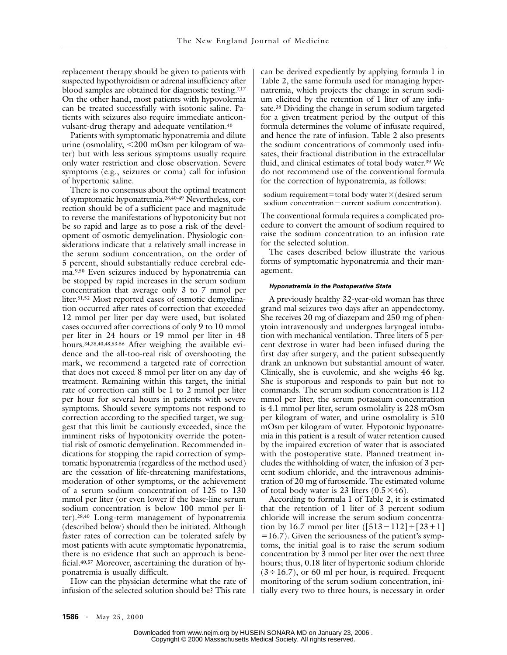replacement therapy should be given to patients with suspected hypothyroidism or adrenal insufficiency after blood samples are obtained for diagnostic testing.7,17 On the other hand, most patients with hypovolemia can be treated successfully with isotonic saline. Patients with seizures also require immediate anticonvulsant-drug therapy and adequate ventilation.40

Patients with symptomatic hyponatremia and dilute urine (osmolality, <200 mOsm per kilogram of water) but with less serious symptoms usually require only water restriction and close observation. Severe symptoms (e.g., seizures or coma) call for infusion of hypertonic saline.

There is no consensus about the optimal treatment of symptomatic hyponatremia.28,40-49 Nevertheless, correction should be of a sufficient pace and magnitude to reverse the manifestations of hypotonicity but not be so rapid and large as to pose a risk of the development of osmotic demyelination. Physiologic considerations indicate that a relatively small increase in the serum sodium concentration, on the order of 5 percent, should substantially reduce cerebral edema.9,50 Even seizures induced by hyponatremia can be stopped by rapid increases in the serum sodium concentration that average only 3 to 7 mmol per liter.51,52 Most reported cases of osmotic demyelination occurred after rates of correction that exceeded 12 mmol per liter per day were used, but isolated cases occurred after corrections of only 9 to 10 mmol per liter in 24 hours or 19 mmol per liter in 48 hours.34,35,40,48,53-56 After weighing the available evidence and the all-too-real risk of overshooting the mark, we recommend a targeted rate of correction that does not exceed 8 mmol per liter on any day of treatment. Remaining within this target, the initial rate of correction can still be 1 to 2 mmol per liter per hour for several hours in patients with severe symptoms. Should severe symptoms not respond to correction according to the specified target, we suggest that this limit be cautiously exceeded, since the imminent risks of hypotonicity override the potential risk of osmotic demyelination. Recommended indications for stopping the rapid correction of symptomatic hyponatremia (regardless of the method used) are the cessation of life-threatening manifestations, moderation of other symptoms, or the achievement of a serum sodium concentration of 125 to 130 mmol per liter (or even lower if the base-line serum sodium concentration is below 100 mmol per liter).28,40 Long-term management of hyponatremia (described below) should then be initiated. Although faster rates of correction can be tolerated safely by most patients with acute symptomatic hyponatremia, there is no evidence that such an approach is beneficial.40,57 Moreover, ascertaining the duration of hyponatremia is usually difficult.

How can the physician determine what the rate of infusion of the selected solution should be? This rate

can be derived expediently by applying formula 1 in Table 2, the same formula used for managing hypernatremia, which projects the change in serum sodium elicited by the retention of 1 liter of any infusate.38 Dividing the change in serum sodium targeted for a given treatment period by the output of this formula determines the volume of infusate required, and hence the rate of infusion. Table 2 also presents the sodium concentrations of commonly used infusates, their fractional distribution in the extracellular fluid, and clinical estimates of total body water.<sup>39</sup> We do not recommend use of the conventional formula for the correction of hyponatremia, as follows:

sodium requirement=total body water $\times$ (desired serum sodium concentration $-$ current sodium concentration).

The conventional formula requires a complicated procedure to convert the amount of sodium required to raise the sodium concentration to an infusion rate for the selected solution.

The cases described below illustrate the various forms of symptomatic hyponatremia and their management.

## *Hyponatremia in the Postoperative State*

A previously healthy 32-year-old woman has three grand mal seizures two days after an appendectomy. She receives 20 mg of diazepam and 250 mg of phenytoin intravenously and undergoes laryngeal intubation with mechanical ventilation. Three liters of 5 percent dextrose in water had been infused during the first day after surgery, and the patient subsequently drank an unknown but substantial amount of water. Clinically, she is euvolemic, and she weighs 46 kg. She is stuporous and responds to pain but not to commands. The serum sodium concentration is 112 mmol per liter, the serum potassium concentration is 4.1 mmol per liter, serum osmolality is 228 mOsm per kilogram of water, and urine osmolality is 510 mOsm per kilogram of water. Hypotonic hyponatremia in this patient is a result of water retention caused by the impaired excretion of water that is associated with the postoperative state. Planned treatment includes the withholding of water, the infusion of 3 percent sodium chloride, and the intravenous administration of 20 mg of furosemide. The estimated volume of total body water is 23 liters  $(0.5 \times 46)$ .

According to formula 1 of Table 2, it is estimated that the retention of 1 liter of 3 percent sodium chloride will increase the serum sodium concentration by 16.7 mmol per liter  $([513-112] \div [23+1]$  $=16.7$ ). Given the seriousness of the patient's symptoms, the initial goal is to raise the serum sodium concentration by 3 mmol per liter over the next three hours; thus, 0.18 liter of hypertonic sodium chloride  $(3 \div 16.7)$ , or 60 ml per hour, is required. Frequent monitoring of the serum sodium concentration, initially every two to three hours, is necessary in order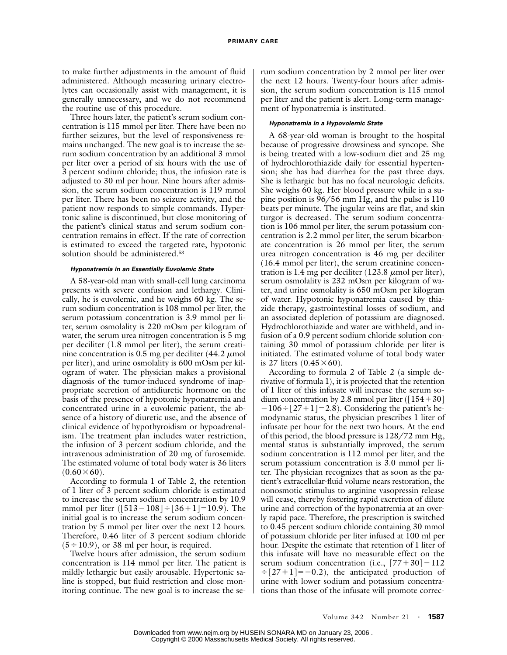to make further adjustments in the amount of fluid administered. Although measuring urinary electrolytes can occasionally assist with management, it is generally unnecessary, and we do not recommend the routine use of this procedure.

Three hours later, the patient's serum sodium concentration is 115 mmol per liter. There have been no further seizures, but the level of responsiveness remains unchanged. The new goal is to increase the serum sodium concentration by an additional 3 mmol per liter over a period of six hours with the use of 3 percent sodium chloride; thus, the infusion rate is adjusted to 30 ml per hour. Nine hours after admission, the serum sodium concentration is 119 mmol per liter. There has been no seizure activity, and the patient now responds to simple commands. Hypertonic saline is discontinued, but close monitoring of the patient's clinical status and serum sodium concentration remains in effect. If the rate of correction is estimated to exceed the targeted rate, hypotonic solution should be administered.58

## *Hyponatremia in an Essentially Euvolemic State*

A 58-year-old man with small-cell lung carcinoma presents with severe confusion and lethargy. Clinically, he is euvolemic, and he weighs 60 kg. The serum sodium concentration is 108 mmol per liter, the serum potassium concentration is 3.9 mmol per liter, serum osmolality is 220 mOsm per kilogram of water, the serum urea nitrogen concentration is 5 mg per deciliter (1.8 mmol per liter), the serum creatinine concentration is 0.5 mg per deciliter  $(44.2 \mu mol)$ per liter), and urine osmolality is 600 mOsm per kilogram of water. The physician makes a provisional diagnosis of the tumor-induced syndrome of inappropriate secretion of antidiuretic hormone on the basis of the presence of hypotonic hyponatremia and concentrated urine in a euvolemic patient, the absence of a history of diuretic use, and the absence of clinical evidence of hypothyroidism or hypoadrenalism. The treatment plan includes water restriction, the infusion of 3 percent sodium chloride, and the intravenous administration of 20 mg of furosemide. The estimated volume of total body water is 36 liters  $(0.60\times60)$ .

According to formula 1 of Table 2, the retention of 1 liter of 3 percent sodium chloride is estimated to increase the serum sodium concentration by 10.9 mmol per liter  $([513 - 108] \div [36 + 1] = 10.9)$ . The initial goal is to increase the serum sodium concentration by 5 mmol per liter over the next 12 hours. Therefore, 0.46 liter of 3 percent sodium chloride  $(5 \div 10.9)$ , or 38 ml per hour, is required.

Twelve hours after admission, the serum sodium concentration is 114 mmol per liter. The patient is mildly lethargic but easily arousable. Hypertonic saline is stopped, but fluid restriction and close monitoring continue. The new goal is to increase the serum sodium concentration by 2 mmol per liter over the next 12 hours. Twenty-four hours after admission, the serum sodium concentration is 115 mmol per liter and the patient is alert. Long-term management of hyponatremia is instituted.

### *Hyponatremia in a Hypovolemic State*

A 68-year-old woman is brought to the hospital because of progressive drowsiness and syncope. She is being treated with a low-sodium diet and 25 mg of hydrochlorothiazide daily for essential hypertension; she has had diarrhea for the past three days. She is lethargic but has no focal neurologic deficits. She weighs 60 kg. Her blood pressure while in a supine position is 96/56 mm Hg, and the pulse is 110 beats per minute. The jugular veins are flat, and skin turgor is decreased. The serum sodium concentration is 106 mmol per liter, the serum potassium concentration is 2.2 mmol per liter, the serum bicarbonate concentration is 26 mmol per liter, the serum urea nitrogen concentration is 46 mg per deciliter (16.4 mmol per liter), the serum creatinine concentration is 1.4 mg per deciliter  $(123.8 \mu mol$  per liter), serum osmolality is 232 mOsm per kilogram of water, and urine osmolality is 650 mOsm per kilogram of water. Hypotonic hyponatremia caused by thiazide therapy, gastrointestinal losses of sodium, and an associated depletion of potassium are diagnosed. Hydrochlorothiazide and water are withheld, and infusion of a 0.9 percent sodium chloride solution containing 30 mmol of potassium chloride per liter is initiated. The estimated volume of total body water is 27 liters  $(0.45\times60)$ .

According to formula 2 of Table 2 (a simple derivative of formula 1), it is projected that the retention of 1 liter of this infusate will increase the serum sodium concentration by 2.8 mmol per liter ( $[154+30]$  $-106 \div [27+1] = 2.8$ ). Considering the patient's hemodynamic status, the physician prescribes 1 liter of infusate per hour for the next two hours. At the end of this period, the blood pressure is 128/72 mm Hg, mental status is substantially improved, the serum sodium concentration is 112 mmol per liter, and the serum potassium concentration is 3.0 mmol per liter. The physician recognizes that as soon as the patient's extracellular-fluid volume nears restoration, the nonosmotic stimulus to arginine vasopressin release will cease, thereby fostering rapid excretion of dilute urine and correction of the hyponatremia at an overly rapid pace. Therefore, the prescription is switched to 0.45 percent sodium chloride containing 30 mmol of potassium chloride per liter infused at 100 ml per hour. Despite the estimate that retention of 1 liter of this infusate will have no measurable effect on the serum sodium concentration (i.e.,  $[77+30]-112$  $\div$ [27+1]=-0.2), the anticipated production of urine with lower sodium and potassium concentrations than those of the infusate will promote correc-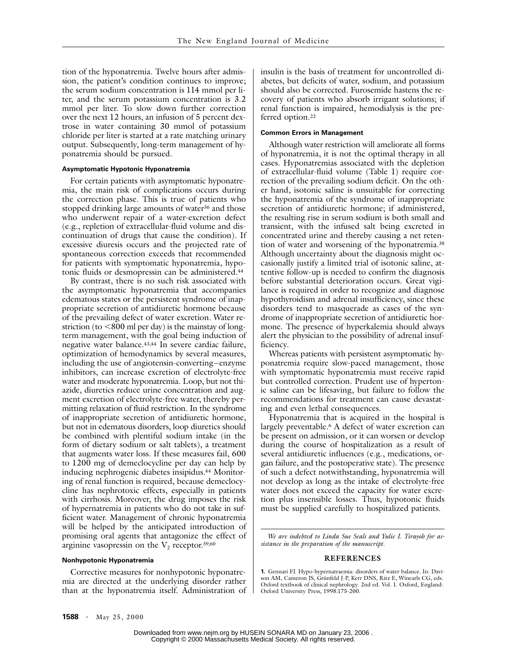tion of the hyponatremia. Twelve hours after admission, the patient's condition continues to improve; the serum sodium concentration is 114 mmol per liter, and the serum potassium concentration is 3.2 mmol per liter. To slow down further correction over the next 12 hours, an infusion of 5 percent dextrose in water containing 30 mmol of potassium chloride per liter is started at a rate matching urinary output. Subsequently, long-term management of hyponatremia should be pursued.

# **Asymptomatic Hypotonic Hyponatremia**

For certain patients with asymptomatic hyponatremia, the main risk of complications occurs during the correction phase. This is true of patients who stopped drinking large amounts of water<sup>36</sup> and those who underwent repair of a water-excretion defect (e.g., repletion of extracellular-fluid volume and discontinuation of drugs that cause the condition). If excessive diuresis occurs and the projected rate of spontaneous correction exceeds that recommended for patients with symptomatic hyponatremia, hypotonic fluids or desmopressin can be administered.44

By contrast, there is no such risk associated with the asymptomatic hyponatremia that accompanies edematous states or the persistent syndrome of inappropriate secretion of antidiuretic hormone because of the prevailing defect of water excretion. Water restriction (to  $<800$  ml per day) is the mainstay of longterm management, with the goal being induction of negative water balance.43,44 In severe cardiac failure, optimization of hemodynamics by several measures, including the use of angiotensin-converting–enzyme inhibitors, can increase excretion of electrolyte-free water and moderate hyponatremia. Loop, but not thiazide, diuretics reduce urine concentration and augment excretion of electrolyte-free water, thereby permitting relaxation of fluid restriction. In the syndrome of inappropriate secretion of antidiuretic hormone, but not in edematous disorders, loop diuretics should be combined with plentiful sodium intake (in the form of dietary sodium or salt tablets), a treatment that augments water loss. If these measures fail, 600 to 1200 mg of demeclocycline per day can help by inducing nephrogenic diabetes insipidus.<sup>44</sup> Monitoring of renal function is required, because demeclocycline has nephrotoxic effects, especially in patients with cirrhosis. Moreover, the drug imposes the risk of hypernatremia in patients who do not take in sufficient water. Management of chronic hyponatremia will be helped by the anticipated introduction of promising oral agents that antagonize the effect of arginine vasopressin on the  $V_2$  receptor.<sup>59,60</sup>

#### **Nonhypotonic Hyponatremia**

Corrective measures for nonhypotonic hyponatremia are directed at the underlying disorder rather than at the hyponatremia itself. Administration of insulin is the basis of treatment for uncontrolled diabetes, but deficits of water, sodium, and potassium should also be corrected. Furosemide hastens the recovery of patients who absorb irrigant solutions; if renal function is impaired, hemodialysis is the preferred option.22

## **Common Errors in Management**

Although water restriction will ameliorate all forms of hyponatremia, it is not the optimal therapy in all cases. Hyponatremias associated with the depletion of extracellular-fluid volume (Table 1) require correction of the prevailing sodium deficit. On the other hand, isotonic saline is unsuitable for correcting the hyponatremia of the syndrome of inappropriate secretion of antidiuretic hormone; if administered, the resulting rise in serum sodium is both small and transient, with the infused salt being excreted in concentrated urine and thereby causing a net retention of water and worsening of the hyponatremia.38 Although uncertainty about the diagnosis might occasionally justify a limited trial of isotonic saline, attentive follow-up is needed to confirm the diagnosis before substantial deterioration occurs. Great vigilance is required in order to recognize and diagnose hypothyroidism and adrenal insufficiency, since these disorders tend to masquerade as cases of the syndrome of inappropriate secretion of antidiuretic hormone. The presence of hyperkalemia should always alert the physician to the possibility of adrenal insufficiency.

Whereas patients with persistent asymptomatic hyponatremia require slow-paced management, those with symptomatic hyponatremia must receive rapid but controlled correction. Prudent use of hypertonic saline can be lifesaving, but failure to follow the recommendations for treatment can cause devastating and even lethal consequences.

Hyponatremia that is acquired in the hospital is largely preventable.6 A defect of water excretion can be present on admission, or it can worsen or develop during the course of hospitalization as a result of several antidiuretic influences (e.g., medications, organ failure, and the postoperative state). The presence of such a defect notwithstanding, hyponatremia will not develop as long as the intake of electrolyte-free water does not exceed the capacity for water excretion plus insensible losses. Thus, hypotonic fluids must be supplied carefully to hospitalized patients.

*We are indebted to Linda Sue Seals and Yulie I. Tirayoh for assistance in the preparation of the manuscript.*

### **REFERENCES**

**<sup>1.</sup>** Gennari FJ. Hypo-hypernatraemia: disorders of water balance. In: Davison AM, Cameron JS, Grünfeld J-P, Kerr DNS, Ritz E, Winearls CG, eds. Oxford textbook of clinical nephrology. 2nd ed. Vol. 1. Oxford, England: Oxford University Press, 1998:175-200.